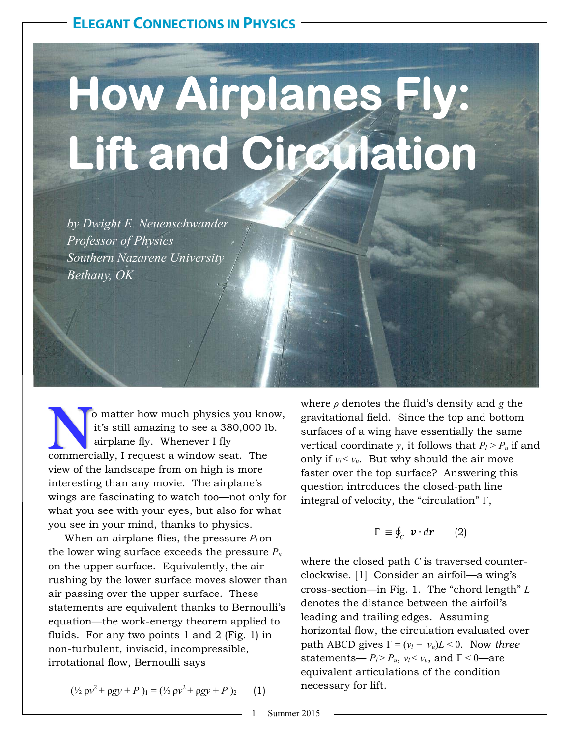# **How Airplanes Fly: Lift and Circulation**

*by Dwight E. Neuenschwander Professor of Physics Southern Nazarene University Bethany, OK* 

o matter how much physics you know it's still amazing to see a 380,000 lb airplane fly. Whenever I fly commercially, I request a window seat. The o matter how much physics you know, it's still amazing to see a 380,000 lb. airplane fly. Whenever I fly view of the landscape from on high is more interesting than any movie. The airplane's wings are fascinating to watch too—not only for what you see with your eyes, but also for what you see in your mind, thanks to physics.

When an airplane flies, the pressure  $P_l$  on the lower wing surface exceeds the pressure *Pu* on the upper surface. Equivalently, the air rushing by the lower surface moves slower than air passing over the upper surface. These statements are equivalent thanks to Bernoulli's equation—the work-energy theorem applied to fluids. For any two points 1 and 2 (Fig. 1) in non-turbulent, inviscid, incompressible, irrotational flow, Bernoulli says

$$
(\frac{1}{2} \rho v^2 + \rho g y + P)_{1} = (\frac{1}{2} \rho v^2 + \rho g y + P)_{2} \qquad (1)
$$

where *ρ* denotes the fluid's density and *g* the gravitational field. Since the top and bottom surfaces of a wing have essentially the same vertical coordinate *y*, it follows that  $P_l > P_u$  if and only if  $v_l < v_u$ . But why should the air move faster over the top surface? Answering this question introduces the closed-path line integral of velocity, the "circulation" Γ,

$$
\Gamma \equiv \oint_C \boldsymbol{v} \cdot d\boldsymbol{r} \qquad (2)
$$

where the closed path *C* is traversed counterclockwise. [1] Consider an airfoil—a wing's cross-section—in Fig. 1. The "chord length" *L* denotes the distance between the airfoil's leading and trailing edges. Assuming horizontal flow, the circulation evaluated over path ABCD gives  $\Gamma = (v_l - v_u)L < 0$ . Now three statements—  $P_l$ > $P_u$ ,  $v_l$ < $v_u$ , and  $\Gamma$  < 0—are equivalent articulations of the condition necessary for lift.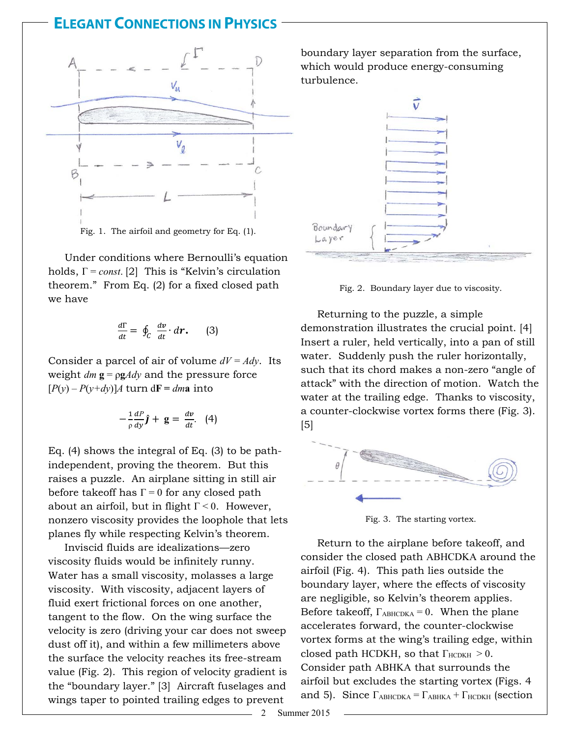### **ELEGANT CONNECTIONS IN PHYSICS**



 Under conditions where Bernoulli's equation holds, Γ = *const*. [2] This is "Kelvin's circulation theorem." From Eq. (2) for a fixed closed path we have

$$
\frac{d\Gamma}{dt} = \oint_C \frac{dv}{dt} \cdot d\mathbf{r}.
$$
 (3)

Consider a parcel of air of volume *dV = Ady*. Its weight  $dm$  **g** =  $\rho g A dy$  and the pressure force  $[P(y) - P(y+dy)]A$  turn d**F** = *dma* into

$$
-\frac{1}{\rho}\frac{dP}{dy}\hat{\bm{j}}+\mathbf{g}=\frac{d\bm{v}}{dt}.\quad (4)
$$

Eq. (4) shows the integral of Eq. (3) to be pathindependent, proving the theorem. But this raises a puzzle. An airplane sitting in still air before takeoff has  $\Gamma = 0$  for any closed path about an airfoil, but in flight  $\Gamma < 0$ . However, nonzero viscosity provides the loophole that lets planes fly while respecting Kelvin's theorem.

 Inviscid fluids are idealizations—zero viscosity fluids would be infinitely runny. Water has a small viscosity, molasses a large viscosity. With viscosity, adjacent layers of fluid exert frictional forces on one another, tangent to the flow. On the wing surface the velocity is zero (driving your car does not sweep dust off it), and within a few millimeters above the surface the velocity reaches its free-stream value (Fig. 2). This region of velocity gradient is the "boundary layer." [3] Aircraft fuselages and wings taper to pointed trailing edges to prevent

boundary layer separation from the surface, which would produce energy-consuming turbulence.



Fig. 2. Boundary layer due to viscosity.

 Returning to the puzzle, a simple demonstration illustrates the crucial point. [4] Insert a ruler, held vertically, into a pan of still water. Suddenly push the ruler horizontally, such that its chord makes a non-zero "angle of attack" with the direction of motion. Watch the water at the trailing edge. Thanks to viscosity, a counter-clockwise vortex forms there (Fig. 3). [5]



Fig. 3. The starting vortex.

 Return to the airplane before takeoff, and consider the closed path ABHCDKA around the airfoil (Fig. 4). This path lies outside the boundary layer, where the effects of viscosity are negligible, so Kelvin's theorem applies. Before takeoff,  $\Gamma_{ABHCDKA} = 0$ . When the plane accelerates forward, the counter-clockwise vortex forms at the wing's trailing edge, within closed path HCDKH, so that  $\Gamma_{\text{HCDKH}} > 0$ . Consider path ABHKA that surrounds the airfoil but excludes the starting vortex (Figs. 4 and 5). Since  $\Gamma_{ABHCDKA} = \Gamma_{ABHKA} + \Gamma_{HCDKH}$  (section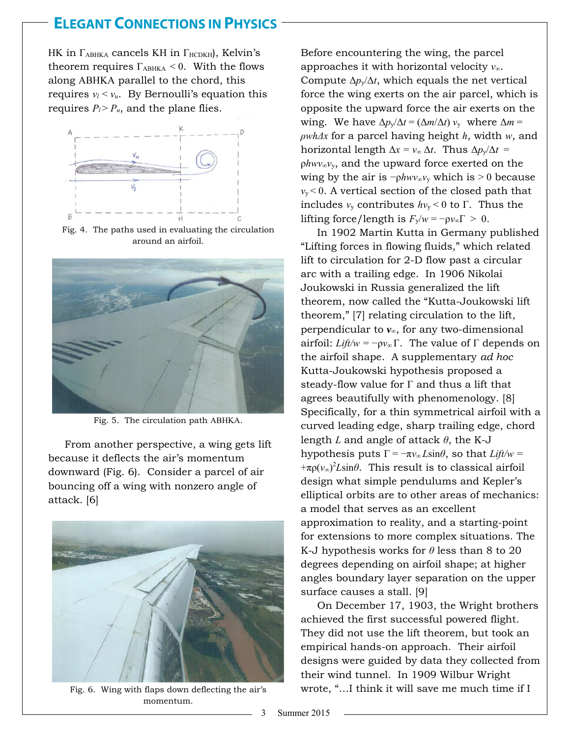### **ELEGANT CONNECTIONS IN PHYSICS .**

HK in  $\Gamma_{ABHKA}$  cancels KH in  $\Gamma_{HCDKH}$ , Kelvin's theorem requires  $\Gamma_{ABHKA}$  < 0. With the flows along ABHKA parallel to the chord, this requires  $v_l < v_u$ . By Bernoulli's equation this requires  $P_l > P_u$ , and the plane flies.



Fig. 4. The paths used in evaluating the circulation around an airfoil.



Fig. 5. The circulation path ABHKA.

 From another perspective, a wing gets lift because it deflects the air's momentum downward (Fig. 6). Consider a parcel of air bouncing off a wing with nonzero angle of attack. [6]



Fig. 6. Wing with flaps down deflecting the air's momentum.

Before encountering the wing, the parcel approaches it with horizontal velocity *v∞*. Compute  $\Delta p_y/\Delta t$ , which equals the net vertical force the wing exerts on the air parcel, which is opposite the upward force the air exerts on the wing. We have  $\Delta p_v/\Delta t = (\Delta m/\Delta t) v_v$  where  $\Delta m =$ *ρwhΔx* for a parcel having height *h*, width *w*, and horizontal length Δ*x = v<sup>∞</sup>* Δ*t.* Thus Δ*p*y/Δ*t* = ρ*hwv∞v*y, and the upward force exerted on the wing by the air is  $-\rho h w v_\infty v_y$  which is > 0 because  $v_y < 0$ . A vertical section of the closed path that includes  $v_y$  contributes  $hv_y < 0$  to  $\Gamma$ . Thus the lifting force/length is  $F_v/w = -\rho v_\infty \Gamma > 0$ .

 In 1902 Martin Kutta in Germany published "Lifting forces in flowing fluids," which related lift to circulation for 2-D flow past a circular arc with a trailing edge. In 1906 Nikolai Joukowski in Russia generalized the lift theorem, now called the "Kutta-Joukowski lift theorem," [7] relating circulation to the lift, perpendicular to *v∞*, for any two-dimensional airfoil: *Lift/w* =  $-pv_{\infty} \Gamma$ . The value of  $\Gamma$  depends on the airfoil shape. A supplementary *ad hoc*  Kutta-Joukowski hypothesis proposed a steady-flow value for Γ and thus a lift that agrees beautifully with phenomenology. [8] Specifically, for a thin symmetrical airfoil with a curved leading edge, sharp trailing edge, chord length *L* and angle of attack *θ*, the K-J hypothesis puts  $\Gamma = -\pi v_\infty L \sin \theta$ , so that *Lift/w* =  $+\pi \rho(\nu_{\infty})^2 L \sin\theta$ . This result is to classical airfoil design what simple pendulums and Kepler's elliptical orbits are to other areas of mechanics: a model that serves as an excellent approximation to reality, and a starting-point for extensions to more complex situations. The K-J hypothesis works for *θ* less than 8 to 20 degrees depending on airfoil shape; at higher angles boundary layer separation on the upper surface causes a stall. [9]

 On December 17, 1903, the Wright brothers achieved the first successful powered flight. They did not use the lift theorem, but took an empirical hands-on approach. Their airfoil designs were guided by data they collected from their wind tunnel. In 1909 Wilbur Wright wrote, "…I think it will save me much time if I